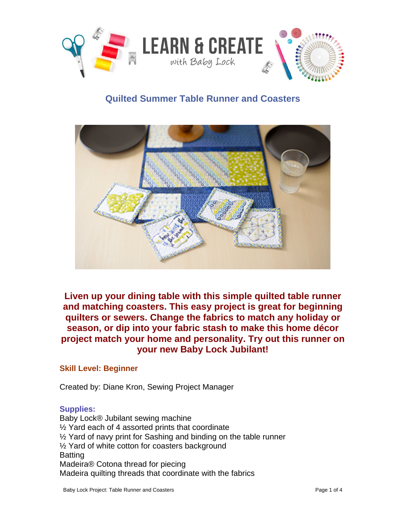

# **Quilted Summer Table Runner and Coasters**

**Liven up your dining table with this simple quilted table runner and matching coasters. This easy project is great for beginning quilters or sewers. Change the fabrics to match any holiday or season, or dip into your fabric stash to make this home décor project match your home and personality. Try out this runner on your new Baby Lock Jubilant!** 

## **Skill Level: Beginner**

Created by: Diane Kron, Sewing Project Manager

#### **Supplies:**

Baby Lock® Jubilant sewing machine ½ Yard each of 4 assorted prints that coordinate ½ Yard of navy print for Sashing and binding on the table runner ½ Yard of white cotton for coasters background Batting Madeira® Cotona thread for piecing Madeira quilting threads that coordinate with the fabrics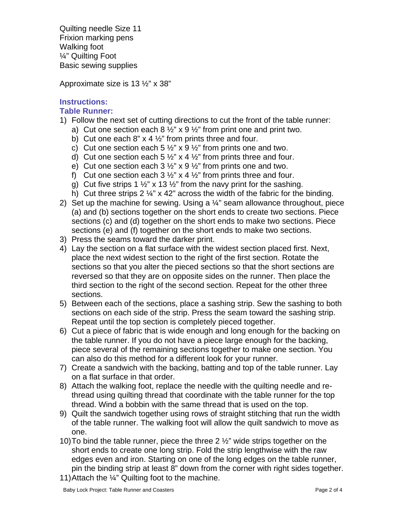Quilting needle Size 11 Frixion marking pens Walking foot ¼" Quilting Foot Basic sewing supplies

Approximate size is 13 ½" x 38"

# **Instructions:**

#### **Table Runner:**

- 1) Follow the next set of cutting directions to cut the front of the table runner:
	- a) Cut one section each  $8\frac{1}{2}$ " x  $9\frac{1}{2}$ " from print one and print two.
	- b) Cut one each  $8$ " x 4  $\frac{1}{2}$ " from prints three and four.
	- c) Cut one section each 5  $\frac{1}{2}$ " x 9  $\frac{1}{2}$ " from prints one and two.
	- d) Cut one section each 5  $\frac{1}{2}$ " x 4  $\frac{1}{2}$ " from prints three and four.
	- e) Cut one section each  $3\frac{1}{2}$  x  $9\frac{1}{2}$  from prints one and two.
	- f) Cut one section each  $3\frac{1}{2}$ " x 4  $\frac{1}{2}$ " from prints three and four.
	- g) Cut five strips 1  $\frac{1}{2}$ " x 13  $\frac{1}{2}$ " from the navy print for the sashing.
	- h) Cut three strips 2  $\frac{1}{4}$ " x 42" across the width of the fabric for the binding.
- 2) Set up the machine for sewing. Using a  $\frac{1}{4}$  seam allowance throughout, piece (a) and (b) sections together on the short ends to create two sections. Piece sections (c) and (d) together on the short ends to make two sections. Piece sections (e) and (f) together on the short ends to make two sections.
- 3) Press the seams toward the darker print.
- 4) Lay the section on a flat surface with the widest section placed first. Next, place the next widest section to the right of the first section. Rotate the sections so that you alter the pieced sections so that the short sections are reversed so that they are on opposite sides on the runner. Then place the third section to the right of the second section. Repeat for the other three sections.
- 5) Between each of the sections, place a sashing strip. Sew the sashing to both sections on each side of the strip. Press the seam toward the sashing strip. Repeat until the top section is completely pieced together.
- 6) Cut a piece of fabric that is wide enough and long enough for the backing on the table runner. If you do not have a piece large enough for the backing, piece several of the remaining sections together to make one section. You can also do this method for a different look for your runner.
- 7) Create a sandwich with the backing, batting and top of the table runner. Lay on a flat surface in that order.
- 8) Attach the walking foot, replace the needle with the quilting needle and rethread using quilting thread that coordinate with the table runner for the top thread. Wind a bobbin with the same thread that is used on the top.
- 9) Quilt the sandwich together using rows of straight stitching that run the width of the table runner. The walking foot will allow the quilt sandwich to move as one.
- 10)To bind the table runner, piece the three 2 ½" wide strips together on the short ends to create one long strip. Fold the strip lengthwise with the raw edges even and iron. Starting on one of the long edges on the table runner, pin the binding strip at least 8" down from the corner with right sides together.
- 11)Attach the ¼" Quilting foot to the machine.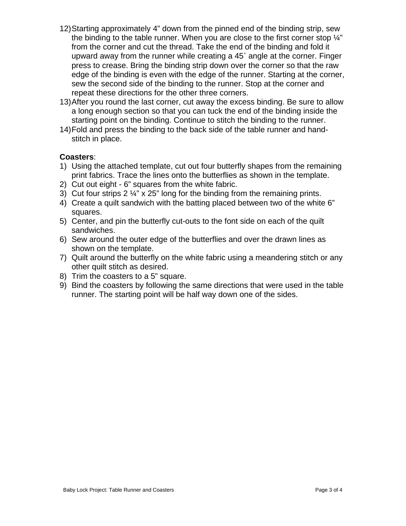- 12)Starting approximately 4" down from the pinned end of the binding strip, sew the binding to the table runner. When you are close to the first corner stop  $\frac{1}{4}$ " from the corner and cut the thread. Take the end of the binding and fold it upward away from the runner while creating a 45˚ angle at the corner. Finger press to crease. Bring the binding strip down over the corner so that the raw edge of the binding is even with the edge of the runner. Starting at the corner, sew the second side of the binding to the runner. Stop at the corner and repeat these directions for the other three corners.
- 13)After you round the last corner, cut away the excess binding. Be sure to allow a long enough section so that you can tuck the end of the binding inside the starting point on the binding. Continue to stitch the binding to the runner.
- 14)Fold and press the binding to the back side of the table runner and handstitch in place.

## **Coasters**:

- 1) Using the attached template, cut out four butterfly shapes from the remaining print fabrics. Trace the lines onto the butterflies as shown in the template.
- 2) Cut out eight 6" squares from the white fabric.
- 3) Cut four strips  $2\frac{1}{4}$ " x 25" long for the binding from the remaining prints.
- 4) Create a quilt sandwich with the batting placed between two of the white 6" squares.
- 5) Center, and pin the butterfly cut-outs to the font side on each of the quilt sandwiches.
- 6) Sew around the outer edge of the butterflies and over the drawn lines as shown on the template.
- 7) Quilt around the butterfly on the white fabric using a meandering stitch or any other quilt stitch as desired.
- 8) Trim the coasters to a 5" square.
- 9) Bind the coasters by following the same directions that were used in the table runner. The starting point will be half way down one of the sides.